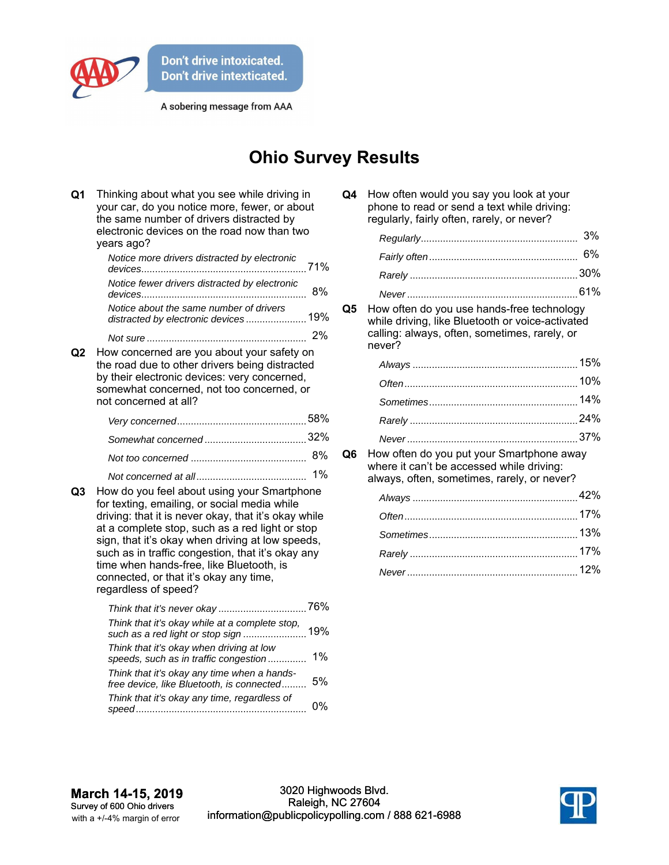

A sobering message from AAA

## **Ohio Survey Results**

| Q <sub>1</sub> | Thinking about what you see while driving in<br>your car, do you notice more, fewer, or about<br>the same number of drivers distracted by<br>electronic devices on the road now than two<br>years ago?                                                                                                                                                                                                                        |       |
|----------------|-------------------------------------------------------------------------------------------------------------------------------------------------------------------------------------------------------------------------------------------------------------------------------------------------------------------------------------------------------------------------------------------------------------------------------|-------|
|                | Notice more drivers distracted by electronic                                                                                                                                                                                                                                                                                                                                                                                  |       |
|                | Notice fewer drivers distracted by electronic                                                                                                                                                                                                                                                                                                                                                                                 | 8%    |
|                | Notice about the same number of drivers<br>distracted by electronic devices 19%                                                                                                                                                                                                                                                                                                                                               |       |
|                |                                                                                                                                                                                                                                                                                                                                                                                                                               |       |
| Q2             | How concerned are you about your safety on<br>the road due to other drivers being distracted<br>by their electronic devices: very concerned,<br>somewhat concerned, not too concerned, or<br>not concerned at all?                                                                                                                                                                                                            |       |
|                |                                                                                                                                                                                                                                                                                                                                                                                                                               |       |
|                |                                                                                                                                                                                                                                                                                                                                                                                                                               |       |
|                |                                                                                                                                                                                                                                                                                                                                                                                                                               | 8%    |
| Q3             | How do you feel about using your Smartphone<br>for texting, emailing, or social media while<br>driving: that it is never okay, that it's okay while<br>at a complete stop, such as a red light or stop<br>sign, that it's okay when driving at low speeds,<br>such as in traffic congestion, that it's okay any<br>time when hands-free, like Bluetooth, is<br>connected, or that it's okay any time,<br>regardless of speed? | 1%    |
|                | Think that it's okay while at a complete stop,                                                                                                                                                                                                                                                                                                                                                                                |       |
|                | Think that it's okay when driving at low                                                                                                                                                                                                                                                                                                                                                                                      |       |
|                | speeds, such as in traffic congestion                                                                                                                                                                                                                                                                                                                                                                                         | $1\%$ |
|                | Think that it's okay any time when a hands-<br>free device, like Bluetooth, is connected                                                                                                                                                                                                                                                                                                                                      | 5%    |
|                | Think that it's okay any time, regardless of                                                                                                                                                                                                                                                                                                                                                                                  | 0%    |

| Q4 | How often would you say you look at your    |
|----|---------------------------------------------|
|    | phone to read or send a text while driving: |
|    | regularly, fairly often, rarely, or never?  |

**Q5** How often do you use hands-free technology while driving, like Bluetooth or voice-activated calling: always, often, sometimes, rarely, or never?

**Q6** How often do you put your Smartphone away where it can't be accessed while driving: always, often, sometimes, rarely, or never?